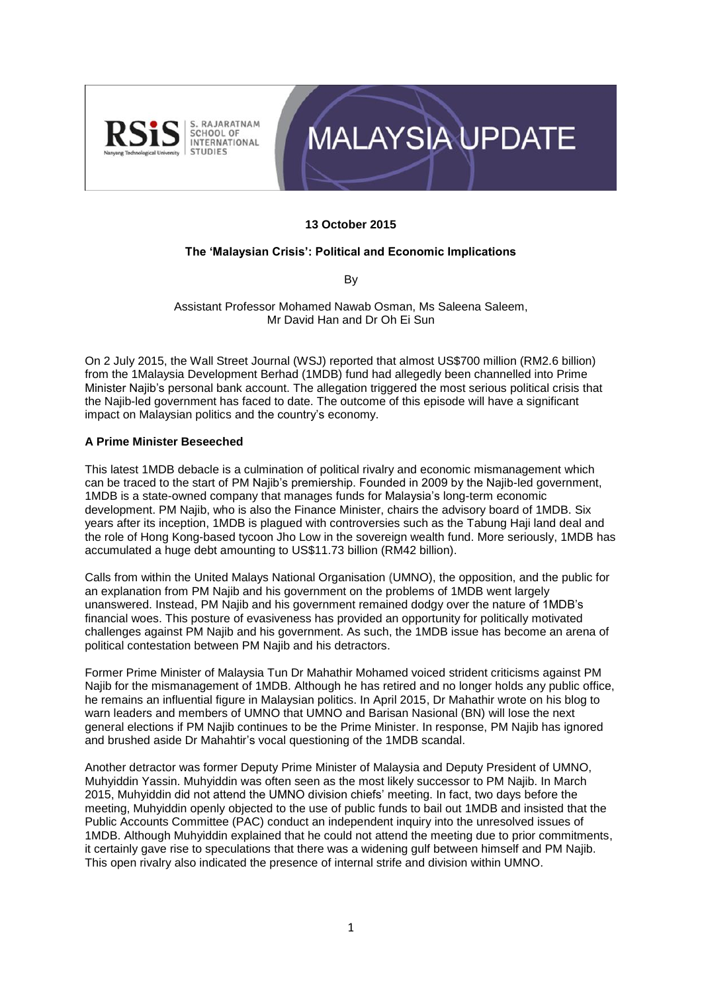



## **13 October 2015**

## **The 'Malaysian Crisis': Political and Economic Implications**

By

Assistant Professor Mohamed Nawab Osman, Ms Saleena Saleem, Mr David Han and Dr Oh Ei Sun

On 2 July 2015, the Wall Street Journal (WSJ) reported that almost US\$700 million (RM2.6 billion) from the 1Malaysia Development Berhad (1MDB) fund had allegedly been channelled into Prime Minister Najib's personal bank account. The allegation triggered the most serious political crisis that the Najib-led government has faced to date. The outcome of this episode will have a significant impact on Malaysian politics and the country's economy.

## **A Prime Minister Beseeched**

This latest 1MDB debacle is a culmination of political rivalry and economic mismanagement which can be traced to the start of PM Najib's premiership. Founded in 2009 by the Najib-led government, 1MDB is a state-owned company that manages funds for Malaysia's long-term economic development. PM Najib, who is also the Finance Minister, chairs the advisory board of 1MDB. Six years after its inception, 1MDB is plagued with controversies such as the Tabung Haji land deal and the role of Hong Kong-based tycoon Jho Low in the sovereign wealth fund. More seriously, 1MDB has accumulated a huge debt amounting to US\$11.73 billion (RM42 billion).

Calls from within the United Malays National Organisation **(**UMNO), the opposition, and the public for an explanation from PM Najib and his government on the problems of 1MDB went largely unanswered. Instead, PM Najib and his government remained dodgy over the nature of 1MDB's financial woes. This posture of evasiveness has provided an opportunity for politically motivated challenges against PM Najib and his government. As such, the 1MDB issue has become an arena of political contestation between PM Najib and his detractors.

Former Prime Minister of Malaysia Tun Dr Mahathir Mohamed voiced strident criticisms against PM Najib for the mismanagement of 1MDB. Although he has retired and no longer holds any public office, he remains an influential figure in Malaysian politics. In April 2015, Dr Mahathir wrote on his blog to warn leaders and members of UMNO that UMNO and Barisan Nasional (BN) will lose the next general elections if PM Najib continues to be the Prime Minister. In response, PM Najib has ignored and brushed aside Dr Mahahtir's vocal questioning of the 1MDB scandal.

Another detractor was former Deputy Prime Minister of Malaysia and Deputy President of UMNO, Muhyiddin Yassin. Muhyiddin was often seen as the most likely successor to PM Najib. In March 2015, Muhyiddin did not attend the UMNO division chiefs' meeting. In fact, two days before the meeting, Muhyiddin openly objected to the use of public funds to bail out 1MDB and insisted that the Public Accounts Committee (PAC) conduct an independent inquiry into the unresolved issues of 1MDB. Although Muhyiddin explained that he could not attend the meeting due to prior commitments, it certainly gave rise to speculations that there was a widening gulf between himself and PM Najib. This open rivalry also indicated the presence of internal strife and division within UMNO.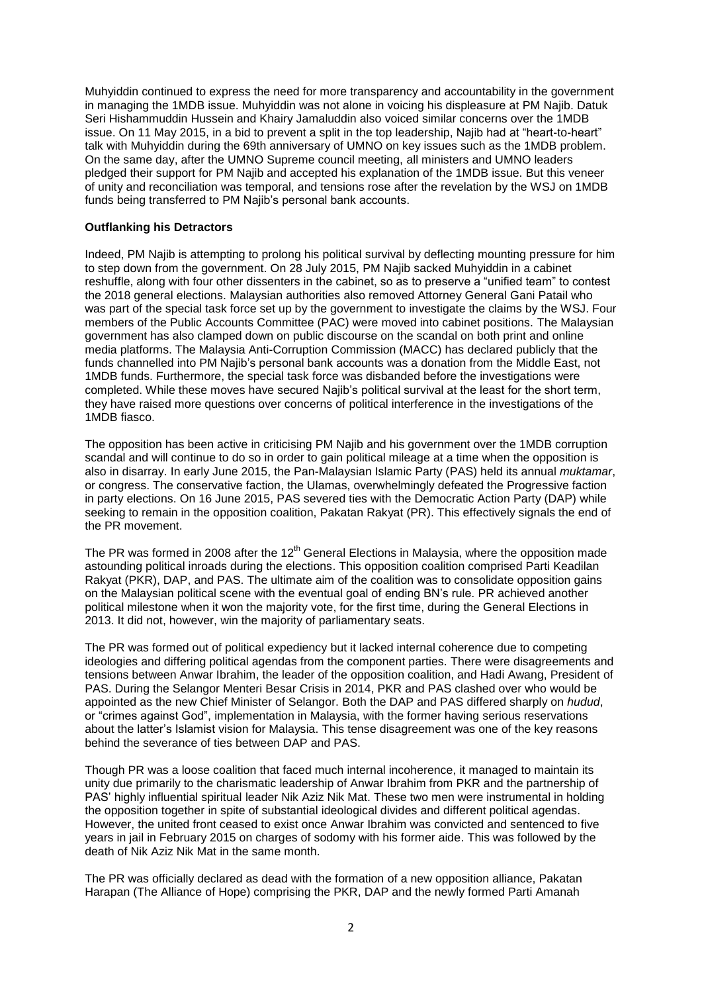Muhyiddin continued to express the need for more transparency and accountability in the government in managing the 1MDB issue. Muhyiddin was not alone in voicing his displeasure at PM Najib. Datuk Seri Hishammuddin Hussein and Khairy Jamaluddin also voiced similar concerns over the 1MDB issue. On 11 May 2015, in a bid to prevent a split in the top leadership, Najib had at "heart-to-heart" talk with Muhyiddin during the 69th anniversary of UMNO on key issues such as the 1MDB problem. On the same day, after the UMNO Supreme council meeting, all ministers and UMNO leaders pledged their support for PM Najib and accepted his explanation of the 1MDB issue. But this veneer of unity and reconciliation was temporal, and tensions rose after the revelation by the WSJ on 1MDB funds being transferred to PM Najib's personal bank accounts.

### **Outflanking his Detractors**

Indeed, PM Najib is attempting to prolong his political survival by deflecting mounting pressure for him to step down from the government. On 28 July 2015, PM Najib sacked Muhyiddin in a cabinet reshuffle, along with four other dissenters in the cabinet, so as to preserve a "unified team" to contest the 2018 general elections. Malaysian authorities also removed Attorney General Gani Patail who was part of the special task force set up by the government to investigate the claims by the WSJ. Four members of the Public Accounts Committee (PAC) were moved into cabinet positions. The Malaysian government has also clamped down on public discourse on the scandal on both print and online media platforms. The Malaysia Anti-Corruption Commission (MACC) has declared publicly that the funds channelled into PM Najib's personal bank accounts was a donation from the Middle East, not 1MDB funds. Furthermore, the special task force was disbanded before the investigations were completed. While these moves have secured Najib's political survival at the least for the short term, they have raised more questions over concerns of political interference in the investigations of the 1MDB fiasco.

The opposition has been active in criticising PM Najib and his government over the 1MDB corruption scandal and will continue to do so in order to gain political mileage at a time when the opposition is also in disarray. In early June 2015, the Pan-Malaysian Islamic Party (PAS) held its annual *muktamar*, or congress. The conservative faction, the Ulamas, overwhelmingly defeated the Progressive faction in party elections. On 16 June 2015, PAS severed ties with the Democratic Action Party (DAP) while seeking to remain in the opposition coalition, Pakatan Rakyat (PR). This effectively signals the end of the PR movement.

The PR was formed in 2008 after the 12<sup>th</sup> General Elections in Malaysia, where the opposition made astounding political inroads during the elections. This opposition coalition comprised Parti Keadilan Rakyat (PKR), DAP, and PAS. The ultimate aim of the coalition was to consolidate opposition gains on the Malaysian political scene with the eventual goal of ending BN's rule. PR achieved another political milestone when it won the majority vote, for the first time, during the General Elections in 2013. It did not, however, win the majority of parliamentary seats.

The PR was formed out of political expediency but it lacked internal coherence due to competing ideologies and differing political agendas from the component parties. There were disagreements and tensions between Anwar Ibrahim, the leader of the opposition coalition, and Hadi Awang, President of PAS. During the Selangor Menteri Besar Crisis in 2014, PKR and PAS clashed over who would be appointed as the new Chief Minister of Selangor. Both the DAP and PAS differed sharply on *hudud*, or "crimes against God", implementation in Malaysia, with the former having serious reservations about the latter's Islamist vision for Malaysia. This tense disagreement was one of the key reasons behind the severance of ties between DAP and PAS.

Though PR was a loose coalition that faced much internal incoherence, it managed to maintain its unity due primarily to the charismatic leadership of Anwar Ibrahim from PKR and the partnership of PAS' highly influential spiritual leader Nik Aziz Nik Mat. These two men were instrumental in holding the opposition together in spite of substantial ideological divides and different political agendas. However, the united front ceased to exist once Anwar Ibrahim was convicted and sentenced to five years in jail in February 2015 on charges of sodomy with his former aide. This was followed by the death of Nik Aziz Nik Mat in the same month.

The PR was officially declared as dead with the formation of a new opposition alliance, Pakatan Harapan (The Alliance of Hope) comprising the PKR, DAP and the newly formed Parti Amanah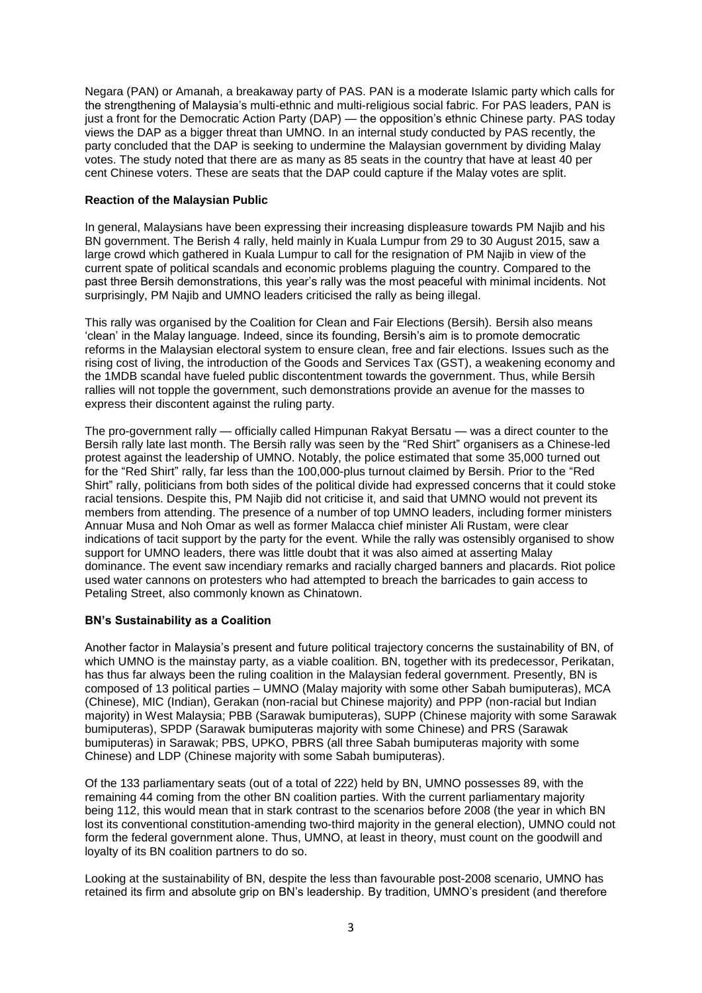Negara (PAN) or Amanah, a breakaway party of PAS. PAN is a moderate Islamic party which calls for the strengthening of Malaysia's multi-ethnic and multi-religious social fabric. For PAS leaders, PAN is just a front for the Democratic Action Party (DAP) — the opposition's ethnic Chinese party. PAS today views the DAP as a bigger threat than UMNO. In an internal study conducted by PAS recently, the party concluded that the DAP is seeking to undermine the Malaysian government by dividing Malay votes. The study noted that there are as many as 85 seats in the country that have at least 40 per cent Chinese voters. These are seats that the DAP could capture if the Malay votes are split.

## **Reaction of the Malaysian Public**

In general, Malaysians have been expressing their increasing displeasure towards PM Najib and his BN government. The Berish 4 rally, held mainly in Kuala Lumpur from 29 to 30 August 2015, saw a large crowd which gathered in Kuala Lumpur to call for the resignation of PM Najib in view of the current spate of political scandals and economic problems plaguing the country. Compared to the past three Bersih demonstrations, this year's rally was the most peaceful with minimal incidents. Not surprisingly, PM Najib and UMNO leaders criticised the rally as being illegal.

This rally was organised by the Coalition for Clean and Fair Elections (Bersih). Bersih also means 'clean' in the Malay language. Indeed, since its founding, Bersih's aim is to promote democratic reforms in the Malaysian electoral system to ensure clean, free and fair elections. Issues such as the rising cost of living, the introduction of the Goods and Services Tax (GST), a weakening economy and the 1MDB scandal have fueled public discontentment towards the government. Thus, while Bersih rallies will not topple the government, such demonstrations provide an avenue for the masses to express their discontent against the ruling party.

The pro-government rally — officially called Himpunan Rakyat Bersatu — was a direct counter to the Bersih rally late last month. The Bersih rally was seen by the "Red Shirt" organisers as a Chinese-led protest against the leadership of UMNO. Notably, the police estimated that some 35,000 turned out for the "Red Shirt" rally, far less than the 100,000-plus turnout claimed by Bersih. Prior to the "Red Shirt" rally, politicians from both sides of the political divide had expressed concerns that it could stoke racial tensions. Despite this, PM Najib did not criticise it, and said that UMNO would not prevent its members from attending. The presence of a number of top UMNO leaders, including former ministers Annuar Musa and Noh Omar as well as former Malacca chief minister Ali Rustam, were clear indications of tacit support by the party for the event. While the rally was ostensibly organised to show support for UMNO leaders, there was little doubt that it was also aimed at asserting Malay dominance. The event saw incendiary remarks and racially charged banners and placards. Riot police used water cannons on protesters who had attempted to breach the barricades to gain access to Petaling Street, also commonly known as Chinatown.

## **BN's Sustainability as a Coalition**

Another factor in Malaysia's present and future political trajectory concerns the sustainability of BN, of which UMNO is the mainstay party, as a viable coalition. BN, together with its predecessor, Perikatan, has thus far always been the ruling coalition in the Malaysian federal government. Presently, BN is composed of 13 political parties – UMNO (Malay majority with some other Sabah bumiputeras), MCA (Chinese), MIC (Indian), Gerakan (non-racial but Chinese majority) and PPP (non-racial but Indian majority) in West Malaysia; PBB (Sarawak bumiputeras), SUPP (Chinese majority with some Sarawak bumiputeras), SPDP (Sarawak bumiputeras majority with some Chinese) and PRS (Sarawak bumiputeras) in Sarawak; PBS, UPKO, PBRS (all three Sabah bumiputeras majority with some Chinese) and LDP (Chinese majority with some Sabah bumiputeras).

Of the 133 parliamentary seats (out of a total of 222) held by BN, UMNO possesses 89, with the remaining 44 coming from the other BN coalition parties. With the current parliamentary majority being 112, this would mean that in stark contrast to the scenarios before 2008 (the year in which BN lost its conventional constitution-amending two-third majority in the general election), UMNO could not form the federal government alone. Thus, UMNO, at least in theory, must count on the goodwill and loyalty of its BN coalition partners to do so.

Looking at the sustainability of BN, despite the less than favourable post-2008 scenario, UMNO has retained its firm and absolute grip on BN's leadership. By tradition, UMNO's president (and therefore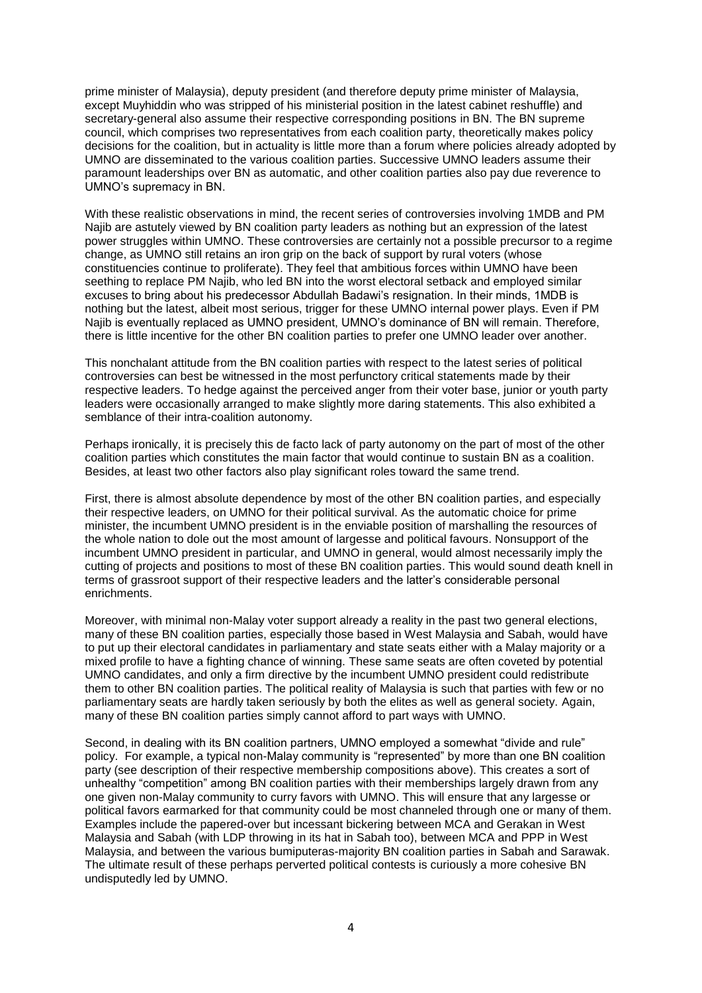prime minister of Malaysia), deputy president (and therefore deputy prime minister of Malaysia, except Muyhiddin who was stripped of his ministerial position in the latest cabinet reshuffle) and secretary-general also assume their respective corresponding positions in BN. The BN supreme council, which comprises two representatives from each coalition party, theoretically makes policy decisions for the coalition, but in actuality is little more than a forum where policies already adopted by UMNO are disseminated to the various coalition parties. Successive UMNO leaders assume their paramount leaderships over BN as automatic, and other coalition parties also pay due reverence to UMNO's supremacy in BN.

With these realistic observations in mind, the recent series of controversies involving 1MDB and PM Najib are astutely viewed by BN coalition party leaders as nothing but an expression of the latest power struggles within UMNO. These controversies are certainly not a possible precursor to a regime change, as UMNO still retains an iron grip on the back of support by rural voters (whose constituencies continue to proliferate). They feel that ambitious forces within UMNO have been seething to replace PM Najib, who led BN into the worst electoral setback and employed similar excuses to bring about his predecessor Abdullah Badawi's resignation. In their minds, 1MDB is nothing but the latest, albeit most serious, trigger for these UMNO internal power plays. Even if PM Najib is eventually replaced as UMNO president, UMNO's dominance of BN will remain. Therefore, there is little incentive for the other BN coalition parties to prefer one UMNO leader over another.

This nonchalant attitude from the BN coalition parties with respect to the latest series of political controversies can best be witnessed in the most perfunctory critical statements made by their respective leaders. To hedge against the perceived anger from their voter base, junior or youth party leaders were occasionally arranged to make slightly more daring statements. This also exhibited a semblance of their intra-coalition autonomy.

Perhaps ironically, it is precisely this de facto lack of party autonomy on the part of most of the other coalition parties which constitutes the main factor that would continue to sustain BN as a coalition. Besides, at least two other factors also play significant roles toward the same trend.

First, there is almost absolute dependence by most of the other BN coalition parties, and especially their respective leaders, on UMNO for their political survival. As the automatic choice for prime minister, the incumbent UMNO president is in the enviable position of marshalling the resources of the whole nation to dole out the most amount of largesse and political favours. Nonsupport of the incumbent UMNO president in particular, and UMNO in general, would almost necessarily imply the cutting of projects and positions to most of these BN coalition parties. This would sound death knell in terms of grassroot support of their respective leaders and the latter's considerable personal enrichments.

Moreover, with minimal non-Malay voter support already a reality in the past two general elections, many of these BN coalition parties, especially those based in West Malaysia and Sabah, would have to put up their electoral candidates in parliamentary and state seats either with a Malay majority or a mixed profile to have a fighting chance of winning. These same seats are often coveted by potential UMNO candidates, and only a firm directive by the incumbent UMNO president could redistribute them to other BN coalition parties. The political reality of Malaysia is such that parties with few or no parliamentary seats are hardly taken seriously by both the elites as well as general society. Again, many of these BN coalition parties simply cannot afford to part ways with UMNO.

Second, in dealing with its BN coalition partners, UMNO employed a somewhat "divide and rule" policy. For example, a typical non-Malay community is "represented" by more than one BN coalition party (see description of their respective membership compositions above). This creates a sort of unhealthy "competition" among BN coalition parties with their memberships largely drawn from any one given non-Malay community to curry favors with UMNO. This will ensure that any largesse or political favors earmarked for that community could be most channeled through one or many of them. Examples include the papered-over but incessant bickering between MCA and Gerakan in West Malaysia and Sabah (with LDP throwing in its hat in Sabah too), between MCA and PPP in West Malaysia, and between the various bumiputeras-majority BN coalition parties in Sabah and Sarawak. The ultimate result of these perhaps perverted political contests is curiously a more cohesive BN undisputedly led by UMNO.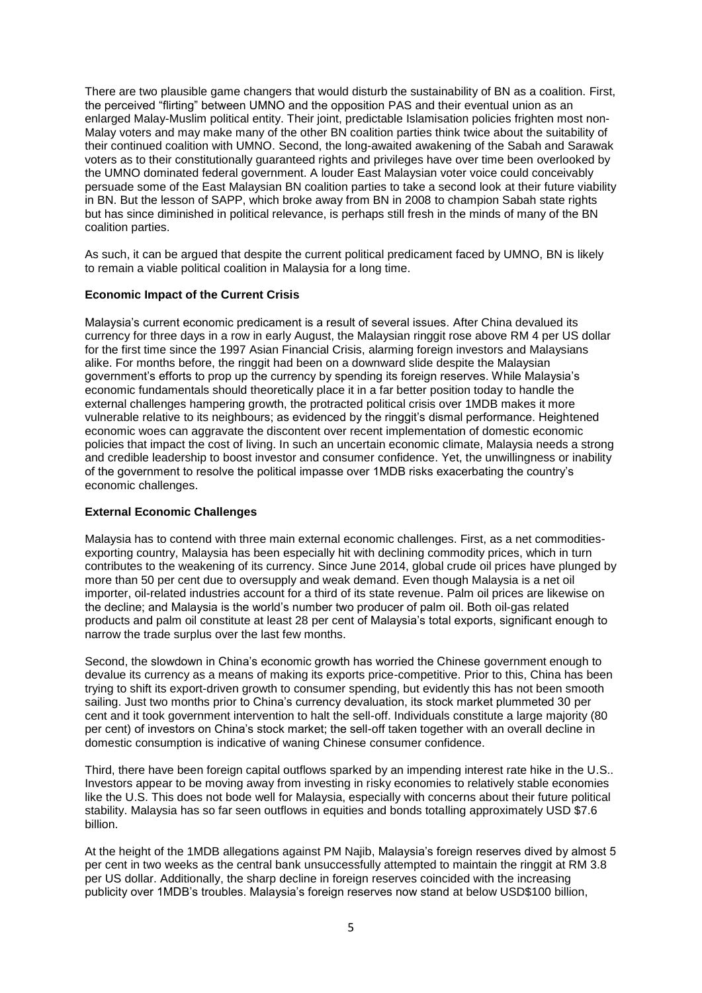There are two plausible game changers that would disturb the sustainability of BN as a coalition. First, the perceived "flirting" between UMNO and the opposition PAS and their eventual union as an enlarged Malay-Muslim political entity. Their joint, predictable Islamisation policies frighten most non-Malay voters and may make many of the other BN coalition parties think twice about the suitability of their continued coalition with UMNO. Second, the long-awaited awakening of the Sabah and Sarawak voters as to their constitutionally guaranteed rights and privileges have over time been overlooked by the UMNO dominated federal government. A louder East Malaysian voter voice could conceivably persuade some of the East Malaysian BN coalition parties to take a second look at their future viability in BN. But the lesson of SAPP, which broke away from BN in 2008 to champion Sabah state rights but has since diminished in political relevance, is perhaps still fresh in the minds of many of the BN coalition parties.

As such, it can be argued that despite the current political predicament faced by UMNO, BN is likely to remain a viable political coalition in Malaysia for a long time.

## **Economic Impact of the Current Crisis**

Malaysia's current economic predicament is a result of several issues. After China devalued its currency for three days in a row in early August, the Malaysian ringgit rose above RM 4 per US dollar for the first time since the 1997 Asian Financial Crisis, alarming foreign investors and Malaysians alike. For months before, the ringgit had been on a downward slide despite the Malaysian government's efforts to prop up the currency by spending its foreign reserves. While Malaysia's economic fundamentals should theoretically place it in a far better position today to handle the external challenges hampering growth, the protracted political crisis over 1MDB makes it more vulnerable relative to its neighbours; as evidenced by the ringgit's dismal performance. Heightened economic woes can aggravate the discontent over recent implementation of domestic economic policies that impact the cost of living. In such an uncertain economic climate, Malaysia needs a strong and credible leadership to boost investor and consumer confidence. Yet, the unwillingness or inability of the government to resolve the political impasse over 1MDB risks exacerbating the country's economic challenges.

#### **External Economic Challenges**

Malaysia has to contend with three main external economic challenges. First, as a net commoditiesexporting country, Malaysia has been especially hit with declining commodity prices, which in turn contributes to the weakening of its currency. Since June 2014, global crude oil prices have plunged by more than 50 per cent due to oversupply and weak demand. Even though Malaysia is a net oil importer, oil-related industries account for a third of its state revenue. Palm oil prices are likewise on the decline; and Malaysia is the world's number two producer of palm oil. Both oil-gas related products and palm oil constitute at least 28 per cent of Malaysia's total exports, significant enough to narrow the trade surplus over the last few months.

Second, the slowdown in China's economic growth has worried the Chinese government enough to devalue its currency as a means of making its exports price-competitive. Prior to this, China has been trying to shift its export-driven growth to consumer spending, but evidently this has not been smooth sailing. Just two months prior to China's currency devaluation, its stock market plummeted 30 per cent and it took government intervention to halt the sell-off. Individuals constitute a large majority (80 per cent) of investors on China's stock market; the sell-off taken together with an overall decline in domestic consumption is indicative of waning Chinese consumer confidence.

Third, there have been foreign capital outflows sparked by an impending interest rate hike in the U.S.. Investors appear to be moving away from investing in risky economies to relatively stable economies like the U.S. This does not bode well for Malaysia, especially with concerns about their future political stability. Malaysia has so far seen outflows in equities and bonds totalling approximately USD \$7.6 billion.

At the height of the 1MDB allegations against PM Najib, Malaysia's foreign reserves dived by almost 5 per cent in two weeks as the central bank unsuccessfully attempted to maintain the ringgit at RM 3.8 per US dollar. Additionally, the sharp decline in foreign reserves coincided with the increasing publicity over 1MDB's troubles. Malaysia's foreign reserves now stand at below USD\$100 billion,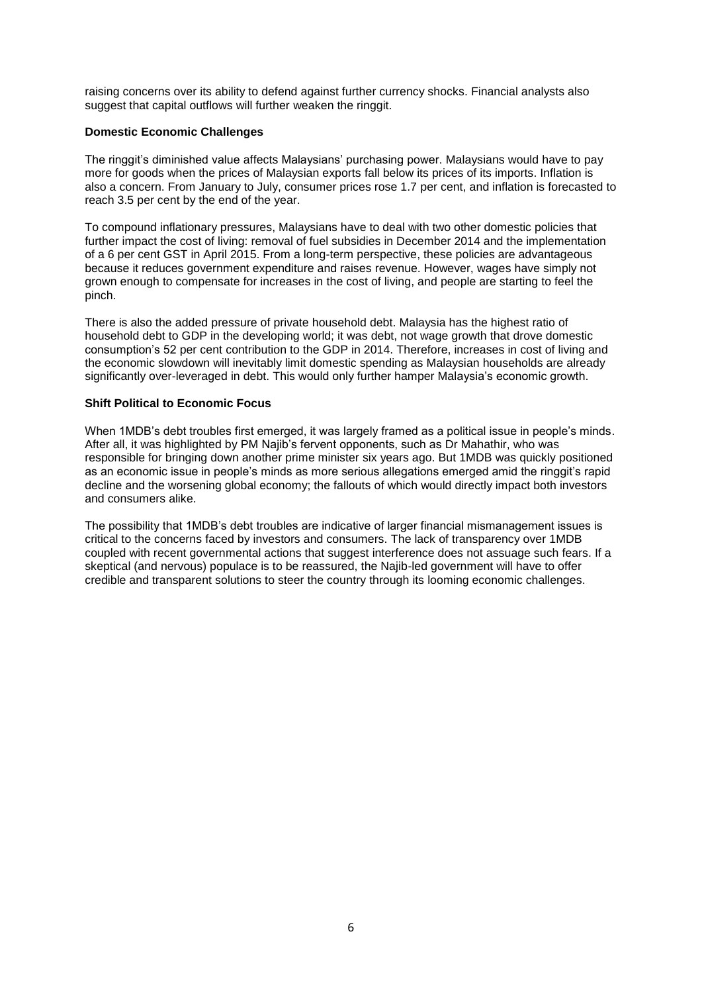raising concerns over its ability to defend against further currency shocks. Financial analysts also suggest that capital outflows will further weaken the ringgit.

## **Domestic Economic Challenges**

The ringgit's diminished value affects Malaysians' purchasing power. Malaysians would have to pay more for goods when the prices of Malaysian exports fall below its prices of its imports. Inflation is also a concern. From January to July, consumer prices rose 1.7 per cent, and inflation is forecasted to reach 3.5 per cent by the end of the year.

To compound inflationary pressures, Malaysians have to deal with two other domestic policies that further impact the cost of living: removal of fuel subsidies in December 2014 and the implementation of a 6 per cent GST in April 2015. From a long-term perspective, these policies are advantageous because it reduces government expenditure and raises revenue. However, wages have simply not grown enough to compensate for increases in the cost of living, and people are starting to feel the pinch.

There is also the added pressure of private household debt. Malaysia has the highest ratio of household debt to GDP in the developing world; it was debt, not wage growth that drove domestic consumption's 52 per cent contribution to the GDP in 2014. Therefore, increases in cost of living and the economic slowdown will inevitably limit domestic spending as Malaysian households are already significantly over-leveraged in debt. This would only further hamper Malaysia's economic growth.

## **Shift Political to Economic Focus**

When 1MDB's debt troubles first emerged, it was largely framed as a political issue in people's minds. After all, it was highlighted by PM Najib's fervent opponents, such as Dr Mahathir, who was responsible for bringing down another prime minister six years ago. But 1MDB was quickly positioned as an economic issue in people's minds as more serious allegations emerged amid the ringgit's rapid decline and the worsening global economy; the fallouts of which would directly impact both investors and consumers alike.

The possibility that 1MDB's debt troubles are indicative of larger financial mismanagement issues is critical to the concerns faced by investors and consumers. The lack of transparency over 1MDB coupled with recent governmental actions that suggest interference does not assuage such fears. If a skeptical (and nervous) populace is to be reassured, the Najib-led government will have to offer credible and transparent solutions to steer the country through its looming economic challenges.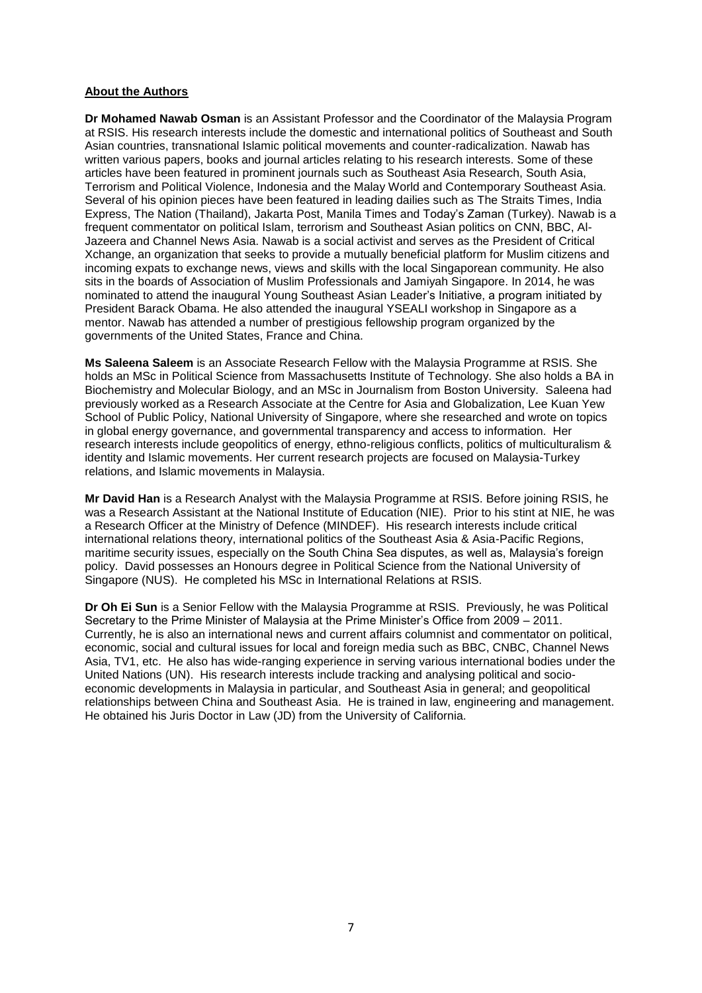## **About the Authors**

**Dr Mohamed Nawab Osman** is an Assistant Professor and the Coordinator of the Malaysia Program at RSIS. His research interests include the domestic and international politics of Southeast and South Asian countries, transnational Islamic political movements and counter-radicalization. Nawab has written various papers, books and journal articles relating to his research interests. Some of these articles have been featured in prominent journals such as Southeast Asia Research, South Asia, Terrorism and Political Violence, Indonesia and the Malay World and Contemporary Southeast Asia. Several of his opinion pieces have been featured in leading dailies such as The Straits Times, India Express, The Nation (Thailand), Jakarta Post, Manila Times and Today's Zaman (Turkey). Nawab is a frequent commentator on political Islam, terrorism and Southeast Asian politics on CNN, BBC, Al-Jazeera and Channel News Asia. Nawab is a social activist and serves as the President of Critical Xchange, an organization that seeks to provide a mutually beneficial platform for Muslim citizens and incoming expats to exchange news, views and skills with the local Singaporean community. He also sits in the boards of Association of Muslim Professionals and Jamiyah Singapore. In 2014, he was nominated to attend the inaugural Young Southeast Asian Leader's Initiative, a program initiated by President Barack Obama. He also attended the inaugural YSEALI workshop in Singapore as a mentor. Nawab has attended a number of prestigious fellowship program organized by the governments of the United States, France and China.

**Ms Saleena Saleem** is an Associate Research Fellow with the Malaysia Programme at RSIS. She holds an MSc in Political Science from Massachusetts Institute of Technology. She also holds a BA in Biochemistry and Molecular Biology, and an MSc in Journalism from Boston University. Saleena had previously worked as a Research Associate at the Centre for Asia and Globalization, Lee Kuan Yew School of Public Policy, National University of Singapore, where she researched and wrote on topics in global energy governance, and governmental transparency and access to information. Her research interests include geopolitics of energy, ethno-religious conflicts, politics of multiculturalism & identity and Islamic movements. Her current research projects are focused on Malaysia-Turkey relations, and Islamic movements in Malaysia.

**Mr David Han** is a Research Analyst with the Malaysia Programme at RSIS. Before joining RSIS, he was a Research Assistant at the National Institute of Education (NIE). Prior to his stint at NIE, he was a Research Officer at the Ministry of Defence (MINDEF). His research interests include critical international relations theory, international politics of the Southeast Asia & Asia-Pacific Regions, maritime security issues, especially on the South China Sea disputes, as well as, Malaysia's foreign policy. David possesses an Honours degree in Political Science from the National University of Singapore (NUS). He completed his MSc in International Relations at RSIS.

**Dr Oh Ei Sun** is a Senior Fellow with the Malaysia Programme at RSIS. Previously, he was Political Secretary to the Prime Minister of Malaysia at the Prime Minister's Office from 2009 – 2011. Currently, he is also an international news and current affairs columnist and commentator on political, economic, social and cultural issues for local and foreign media such as BBC, CNBC, Channel News Asia, TV1, etc. He also has wide-ranging experience in serving various international bodies under the United Nations (UN). His research interests include tracking and analysing political and socioeconomic developments in Malaysia in particular, and Southeast Asia in general; and geopolitical relationships between China and Southeast Asia. He is trained in law, engineering and management. He obtained his Juris Doctor in Law (JD) from the University of California.